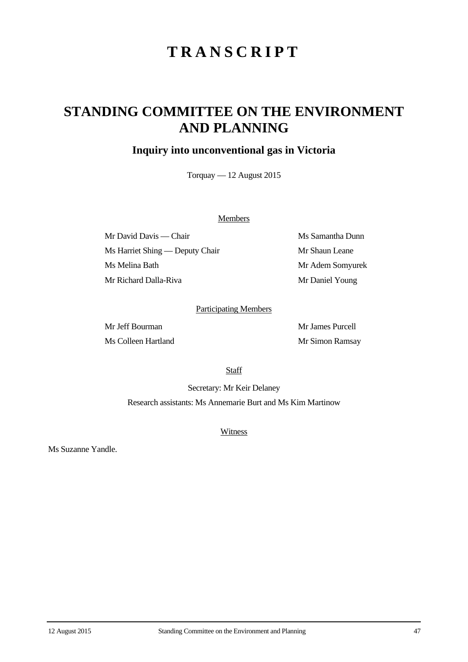# **TRANSCRIPT**

## **STANDING COMMITTEE ON THE ENVIRONMENT AND PLANNING**

## **Inquiry into unconventional gas in Victoria**

Torquay — 12 August 2015

#### **Members**

Mr David Davis — Chair Ms Samantha Dunn Ms Harriet Shing — Deputy Chair Mr Shaun Leane Ms Melina Bath Mr Adem Somyurek Mr Richard Dalla-Riva Mr Daniel Young

### Participating Members

Mr Jeff Bourman Mr James Purcell Ms Colleen Hartland Mr Simon Ramsay

**Staff** 

Secretary: Mr Keir Delaney Research assistants: Ms Annemarie Burt and Ms Kim Martinow

**Witness** 

Ms Suzanne Yandle.